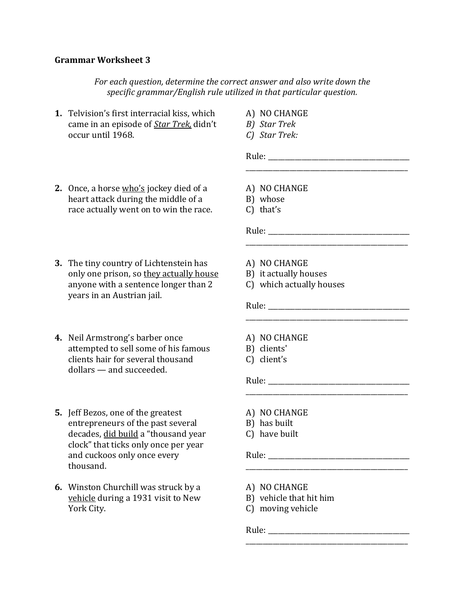## **Grammar Worksheet 3**

*For each question, determine the correct answer and also write down the specific grammar/English rule utilized in that particular question.*

- **1.** Telvision's first interracial kiss, which came in an episode of *Star Trek,* didn't occur until 1968.
- A) NO CHANGE
- *B) Star Trek*
- *C) Star Trek:*

Rule:

- **2.** Once, a horse who's jockey died of a heart attack during the middle of a race actually went on to win the race.
- **3.** The tiny country of Lichtenstein has only one prison, so they actually house anyone with a sentence longer than 2 years in an Austrian jail.
- **4.** Neil Armstrong's barber once attempted to sell some of his famous clients hair for several thousand dollars — and succeeded.
- **5.** Jeff Bezos, one of the greatest entrepreneurs of the past several decades, did build a "thousand year clock" that ticks only once per year and cuckoos only once every thousand.
- **6.** Winston Churchill was struck by a vehicle during a 1931 visit to New York City.
- A) NO CHANGE
- B) whose
- C) that's

Rule: \_\_\_\_\_\_\_\_\_\_\_\_\_\_\_\_\_\_\_\_\_\_\_\_\_\_\_\_\_\_\_\_\_\_\_\_\_\_\_\_\_\_

- A) NO CHANGE
- B) it actually houses
- C) which actually houses

\_\_\_\_\_\_\_\_\_\_\_\_\_\_\_\_\_\_\_\_\_\_\_\_\_\_\_\_\_\_\_\_\_\_\_\_\_\_\_\_\_\_\_\_\_\_\_\_

\_\_\_\_\_\_\_\_\_\_\_\_\_\_\_\_\_\_\_\_\_\_\_\_\_\_\_\_\_\_\_\_\_\_\_\_\_\_\_\_\_\_\_\_\_\_\_\_

\_\_\_\_\_\_\_\_\_\_\_\_\_\_\_\_\_\_\_\_\_\_\_\_\_\_\_\_\_\_\_\_\_\_\_\_\_\_\_\_\_\_\_\_\_\_\_\_

\_\_\_\_\_\_\_\_\_\_\_\_\_\_\_\_\_\_\_\_\_\_\_\_\_\_\_\_\_\_\_\_\_\_\_\_\_\_\_\_\_\_\_\_\_\_\_\_

\_\_\_\_\_\_\_\_\_\_\_\_\_\_\_\_\_\_\_\_\_\_\_\_\_\_\_\_\_\_\_\_\_\_\_\_\_\_\_\_\_\_\_\_\_\_\_\_

\_\_\_\_\_\_\_\_\_\_\_\_\_\_\_\_\_\_\_\_\_\_\_\_\_\_\_\_\_\_\_\_\_\_\_\_\_\_\_\_\_\_\_\_\_\_\_\_

- Rule: \_\_\_\_\_\_\_\_\_\_\_\_\_\_\_\_\_\_\_\_\_\_\_\_\_\_\_\_\_\_\_\_\_\_\_\_\_\_\_\_\_\_
- A) NO CHANGE
- B) clients'
- C) client's

Rule:

- A) NO CHANGE
- B) has built
- C) have built

Rule:

- A) NO CHANGE
- B) vehicle that hit him
- C) moving vehicle

Rule: \_\_\_\_\_\_\_\_\_\_\_\_\_\_\_\_\_\_\_\_\_\_\_\_\_\_\_\_\_\_\_\_\_\_\_\_\_\_\_\_\_\_